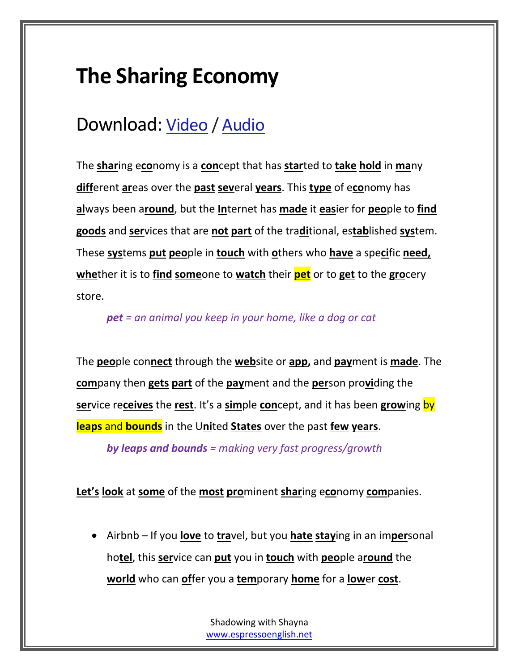# **The Sharing Economy**

## Download: [Video](https://s3.amazonaws.com/EspressoEnglish/Shadowing+with+Shayna/01+-+The+Sharing+Economy.mp4) / [Audio](https://s3.amazonaws.com/EspressoEnglish/Shadowing+with+Shayna/01+-+The+Sharing+Economy.mp3)

The **shar**ing e**co**nomy is a **con**cept that has **star**ted to **take hold** in **ma**ny **diff**erent **ar**eas over the **past sev**eral **years**. This **type** of e**co**nomy has **al**ways been a**round**, but the **In**ternet has **made** it **eas**ier for **peo**ple to **find goods** and **ser**vices that are **not part** of the tra**di**tional, es**tab**lished **sys**tem. These **sys**tems **put peo**ple in **touch** with **o**thers who **have** a spe**ci**fic **need, whe**ther it is to **find some**one to **watch** their **pet** or to **get** to the **gro**cery store.

#### *pet = an animal you keep in your home, like a dog or cat*

The **peo**ple con**nect** through the **web**site or **app,** and **pay**ment is **made**. The **com**pany then **gets part** of the **pay**ment and the **per**son pro**vi**ding the **ser**vice re**ceives** the **rest**. It's a **sim**ple **con**cept, and it has been **grow**ing by **leaps** and **bounds** in the U**ni**ted **States** over the past **few years**.

*by leaps and bounds = making very fast progress/growth*

**Let's look** at **some** of the **most pro**minent **shar**ing e**co**nomy **com**panies.

 Airbnb – If you **love** to **tra**vel, but you **hate stay**ing in an im**per**sonal ho**tel**, this **ser**vice can **put** you in **touch** with **peo**ple a**round** the **world** who can **of**fer you a **tem**porary **home** for a **low**er **cost**.

> Shadowing with Shayna [www.espressoenglish.net](http://www.espressoenglish.net/)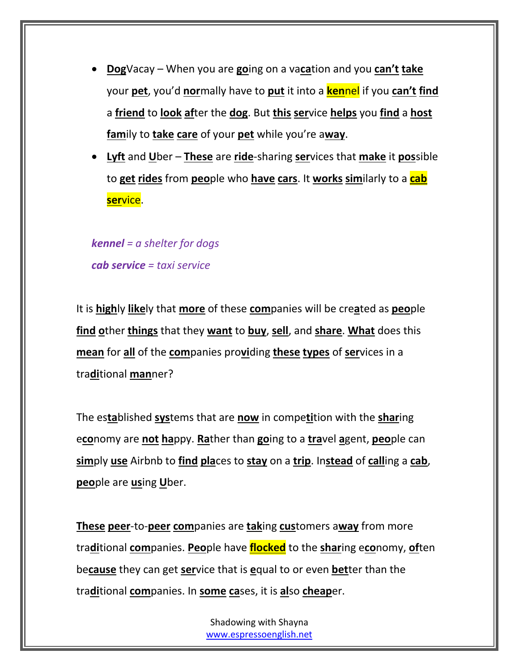- **Dog**Vacay When you are **go**ing on a va**ca**tion and you **can't take** your **pet**, you'd **nor**mally have to **put** it into a **ken**nel if you **can't find** a **friend** to **look af**ter the **dog**. But **this ser**vice **helps** you **find** a **host fam**ily to **take care** of your **pet** while you're a**way**.
- **Lyft** and **U**ber **These** are **ride**-sharing **ser**vices that **make** it **pos**sible to **get rides** from **peo**ple who **have cars**. It **works sim**ilarly to a **cab ser**vice.

*kennel = a shelter for dogs cab service = taxi service*

It is **high**ly **like**ly that **more** of these **com**panies will be cre**a**ted as **peo**ple **find o**ther **things** that they **want** to **buy**, **sell**, and **share**. **What** does this **mean** for **all** of the **com**panies pro**vi**ding **these types** of **ser**vices in a tra**di**tional **man**ner?

The es**ta**blished **sys**tems that are **now** in compe**ti**tion with the **shar**ing e**co**nomy are **not ha**ppy. **Ra**ther than **go**ing to a **tra**vel **a**gent, **peo**ple can **sim**ply **use** Airbnb to **find pla**ces to **stay** on a **trip**. In**stead** of **call**ing a **cab**, **peo**ple are **us**ing **U**ber.

**These peer**-to-**peer com**panies are **tak**ing **cus**tomers a**way** from more tra**di**tional **com**panies. **Peo**ple have **flocked** to the **shar**ing e**co**nomy, **of**ten be**cause** they can get **ser**vice that is **e**qual to or even **bet**ter than the tra**di**tional **com**panies. In **some ca**ses, it is **al**so **cheap**er.

> Shadowing with Shayna [www.espressoenglish.net](http://www.espressoenglish.net/)